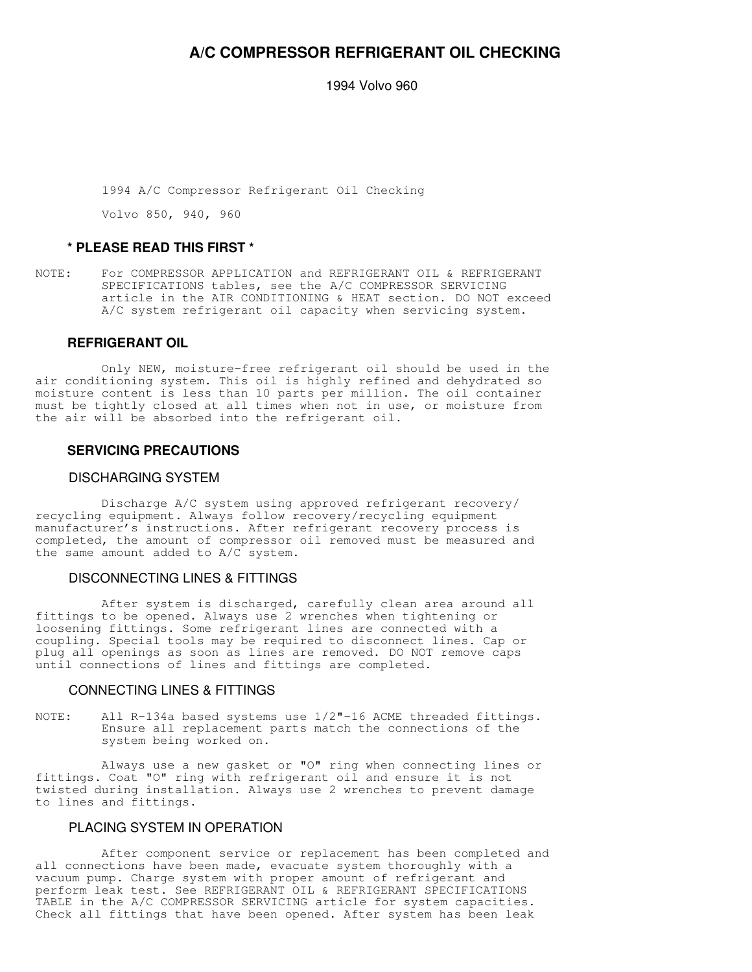# **A/C COMPRESSOR REFRIGERANT OIL CHECKING**

1994 Volvo 960

1994 A/C Compressor Refrigerant Oil Checking

Volvo 850, 940, 960

## **\* PLEASE READ THIS FIRST \***

NOTE: For COMPRESSOR APPLICATION and REFRIGERANT OIL & REFRIGERANT SPECIFICATIONS tables, see the A/C COMPRESSOR SERVICING article in the AIR CONDITIONING & HEAT section. DO NOT exceed A/C system refrigerant oil capacity when servicing system.

# **REFRIGERANT OIL**

 Only NEW, moisture-free refrigerant oil should be used in the air conditioning system. This oil is highly refined and dehydrated so moisture content is less than 10 parts per million. The oil container must be tightly closed at all times when not in use, or moisture from the air will be absorbed into the refrigerant oil.

### **SERVICING PRECAUTIONS**

#### DISCHARGING SYSTEM

 Discharge A/C system using approved refrigerant recovery/ recycling equipment. Always follow recovery/recycling equipment manufacturer's instructions. After refrigerant recovery process is completed, the amount of compressor oil removed must be measured and the same amount added to A/C system.

## DISCONNECTING LINES & FITTINGS

 After system is discharged, carefully clean area around all fittings to be opened. Always use 2 wrenches when tightening or loosening fittings. Some refrigerant lines are connected with a coupling. Special tools may be required to disconnect lines. Cap or plug all openings as soon as lines are removed. DO NOT remove caps until connections of lines and fittings are completed.

#### CONNECTING LINES & FITTINGS

NOTE: All R-134a based systems use 1/2"-16 ACME threaded fittings. Ensure all replacement parts match the connections of the system being worked on.

 Always use a new gasket or "O" ring when connecting lines or fittings. Coat "O" ring with refrigerant oil and ensure it is not twisted during installation. Always use 2 wrenches to prevent damage to lines and fittings.

## PLACING SYSTEM IN OPERATION

 After component service or replacement has been completed and all connections have been made, evacuate system thoroughly with a vacuum pump. Charge system with proper amount of refrigerant and perform leak test. See REFRIGERANT OIL & REFRIGERANT SPECIFICATIONS TABLE in the A/C COMPRESSOR SERVICING article for system capacities. Check all fittings that have been opened. After system has been leak